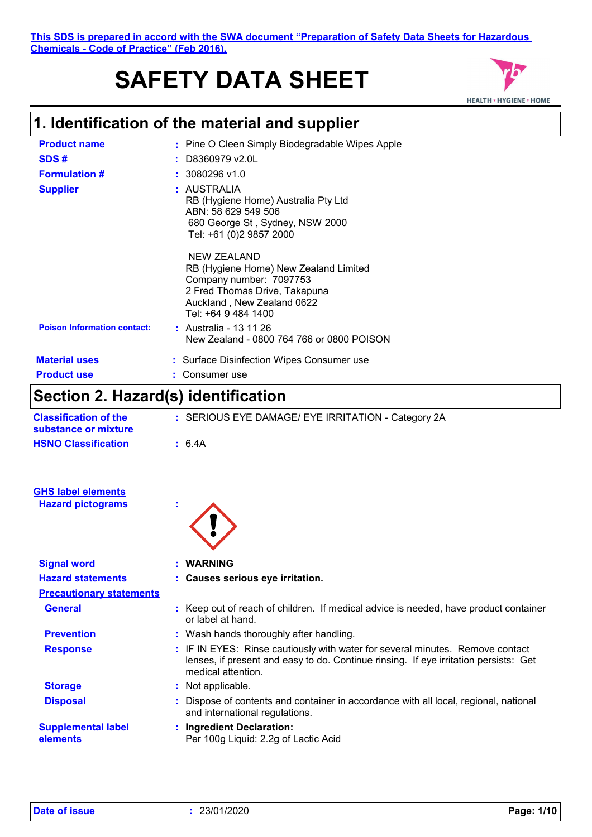# **SAFETY DATA SHEET**



# **1. Identification of the material and supplier**

| <b>Product name</b>                | : Pine O Cleen Simply Biodegradable Wipes Apple                                                                                                                       |
|------------------------------------|-----------------------------------------------------------------------------------------------------------------------------------------------------------------------|
| SDS#                               | D8360979 v2.0L                                                                                                                                                        |
| <b>Formulation #</b>               | $: 3080296$ v1.0                                                                                                                                                      |
| <b>Supplier</b>                    | : AUSTRALIA<br>RB (Hygiene Home) Australia Pty Ltd<br>ABN: 58 629 549 506<br>680 George St, Sydney, NSW 2000<br>Tel: +61 (0)2 9857 2000                               |
|                                    | NEW ZEALAND<br>RB (Hygiene Home) New Zealand Limited<br>Company number: 7097753<br>2 Fred Thomas Drive, Takapuna<br>Auckland, New Zealand 0622<br>Tel: +64 9 484 1400 |
| <b>Poison Information contact:</b> | : Australia - 13 11 26<br>New Zealand - 0800 764 766 or 0800 POISON                                                                                                   |
| <b>Material uses</b>               | : Surface Disinfection Wipes Consumer use                                                                                                                             |
| <b>Product use</b>                 | Consumer use                                                                                                                                                          |

### **Section 2. Hazard(s) identification**

| <b>Classification of the</b><br>substance or mixture | : SERIOUS EYE DAMAGE/ EYE IRRITATION - Category 2A                                                                                                                                          |
|------------------------------------------------------|---------------------------------------------------------------------------------------------------------------------------------------------------------------------------------------------|
| <b>HSNO Classification</b>                           | : 6.4A                                                                                                                                                                                      |
|                                                      |                                                                                                                                                                                             |
| <b>GHS label elements</b>                            |                                                                                                                                                                                             |
| <b>Hazard pictograms</b>                             |                                                                                                                                                                                             |
|                                                      |                                                                                                                                                                                             |
|                                                      |                                                                                                                                                                                             |
| <b>Signal word</b>                                   | <b>WARNING</b>                                                                                                                                                                              |
| <b>Hazard statements</b>                             | : Causes serious eye irritation.                                                                                                                                                            |
| <b>Precautionary statements</b>                      |                                                                                                                                                                                             |
| <b>General</b>                                       | : Keep out of reach of children. If medical advice is needed, have product container<br>or label at hand.                                                                                   |
| <b>Prevention</b>                                    | : Wash hands thoroughly after handling.                                                                                                                                                     |
| <b>Response</b>                                      | : IF IN EYES: Rinse cautiously with water for several minutes. Remove contact<br>lenses, if present and easy to do. Continue rinsing. If eye irritation persists: Get<br>medical attention. |
| <b>Storage</b>                                       | : Not applicable.                                                                                                                                                                           |
| <b>Disposal</b>                                      | Dispose of contents and container in accordance with all local, regional, national<br>and international regulations.                                                                        |
| <b>Supplemental label</b>                            | : Ingredient Declaration:                                                                                                                                                                   |
| elements                                             | Per 100g Liquid: 2.2g of Lactic Acid                                                                                                                                                        |
|                                                      |                                                                                                                                                                                             |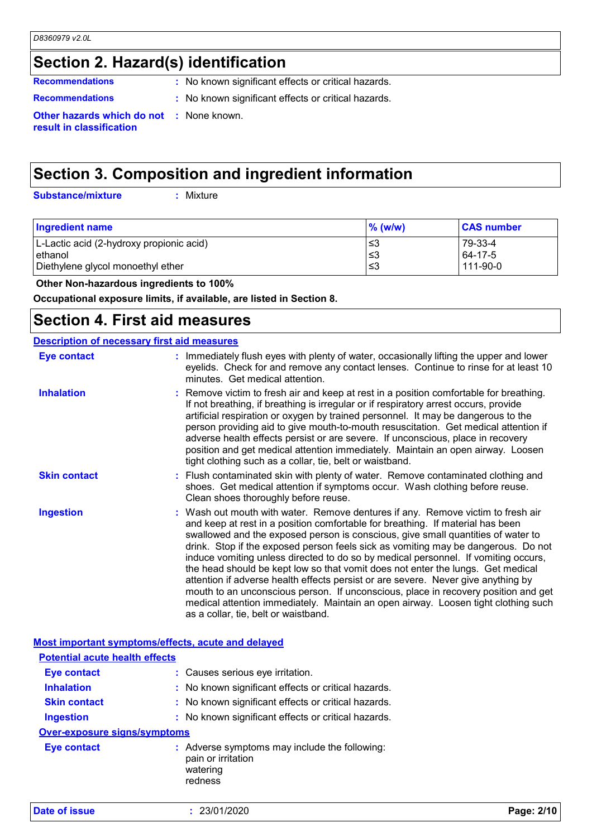### **Section 2. Hazard(s) identification**

**Recommendations :** No known significant effects or critical hazards.

- 
- **Recommendations :** No known significant effects or critical hazards.

**Other hazards which do not :** None known. **result in classification**

### **Section 3. Composition and ingredient information**

**Substance/mixture :**

Mixture

| <b>Ingredient name</b>                   | $%$ (w/w) | <b>CAS number</b> |
|------------------------------------------|-----------|-------------------|
| L-Lactic acid (2-hydroxy propionic acid) | '≤3       | 79-33-4           |
| ethanol                                  | 8≥∣       | 64-17-5           |
| Diethylene glycol monoethyl ether        | -≤3       | 111-90-0          |

 **Other Non-hazardous ingredients to 100%**

**Occupational exposure limits, if available, are listed in Section 8.**

### **Section 4. First aid measures**

#### : Wash out mouth with water. Remove dentures if any. Remove victim to fresh air and keep at rest in a position comfortable for breathing. If material has been swallowed and the exposed person is conscious, give small quantities of water to drink. Stop if the exposed person feels sick as vomiting may be dangerous. Do not induce vomiting unless directed to do so by medical personnel. If vomiting occurs, the head should be kept low so that vomit does not enter the lungs. Get medical attention if adverse health effects persist or are severe. Never give anything by mouth to an unconscious person. If unconscious, place in recovery position and get medical attention immediately. Maintain an open airway. Loosen tight clothing such as a collar, tie, belt or waistband. **:** Immediately flush eyes with plenty of water, occasionally lifting the upper and lower eyelids. Check for and remove any contact lenses. Continue to rinse for at least 10 minutes. Get medical attention. Flush contaminated skin with plenty of water. Remove contaminated clothing and **:** shoes. Get medical attention if symptoms occur. Wash clothing before reuse. Clean shoes thoroughly before reuse. Remove victim to fresh air and keep at rest in a position comfortable for breathing. **:** If not breathing, if breathing is irregular or if respiratory arrest occurs, provide artificial respiration or oxygen by trained personnel. It may be dangerous to the person providing aid to give mouth-to-mouth resuscitation. Get medical attention if adverse health effects persist or are severe. If unconscious, place in recovery position and get medical attention immediately. Maintain an open airway. Loosen tight clothing such as a collar, tie, belt or waistband. **Eye contact Skin contact Inhalation Ingestion : Description of necessary first aid measures**

#### **Most important symptoms/effects, acute and delayed**

| <b>Potential acute health effects</b> |                                                                                            |
|---------------------------------------|--------------------------------------------------------------------------------------------|
| <b>Eye contact</b>                    | : Causes serious eye irritation.                                                           |
| <b>Inhalation</b>                     | : No known significant effects or critical hazards.                                        |
| <b>Skin contact</b>                   | : No known significant effects or critical hazards.                                        |
| <b>Ingestion</b>                      | : No known significant effects or critical hazards.                                        |
| Over-exposure signs/symptoms          |                                                                                            |
| Eye contact                           | : Adverse symptoms may include the following:<br>pain or irritation<br>watering<br>redness |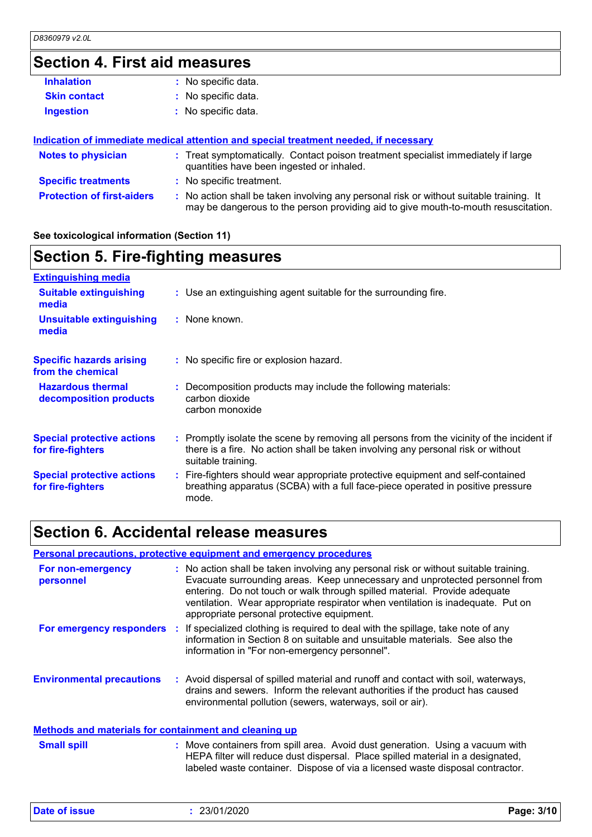### **Section 4. First aid measures**

| <b>Inhalation</b>                 | : No specific data.                                                                                                                                                           |
|-----------------------------------|-------------------------------------------------------------------------------------------------------------------------------------------------------------------------------|
| <b>Skin contact</b>               | : No specific data.                                                                                                                                                           |
| <b>Ingestion</b>                  | : No specific data.                                                                                                                                                           |
|                                   |                                                                                                                                                                               |
|                                   | Indication of immediate medical attention and special treatment needed, if necessary                                                                                          |
| <b>Notes to physician</b>         | : Treat symptomatically. Contact poison treatment specialist immediately if large<br>quantities have been ingested or inhaled.                                                |
| <b>Specific treatments</b>        | : No specific treatment.                                                                                                                                                      |
| <b>Protection of first-aiders</b> | : No action shall be taken involving any personal risk or without suitable training. It<br>may be dangerous to the person providing aid to give mouth-to-mouth resuscitation. |
|                                   |                                                                                                                                                                               |

#### **See toxicological information (Section 11)**

#### **Section 5. Fire-fighting measures :** Promptly isolate the scene by removing all persons from the vicinity of the incident if there is a fire. No action shall be taken involving any personal risk or without suitable training. **Hazardous thermal decomposition products Specific hazards arising from the chemical** Decomposition products may include the following materials: **:** carbon dioxide carbon monoxide No specific fire or explosion hazard. **:** Fire-fighters should wear appropriate protective equipment and self-contained **:** breathing apparatus (SCBA) with a full face-piece operated in positive pressure mode. **Special protective actions for fire-fighters** Use an extinguishing agent suitable for the surrounding fire. **: Extinguishing media :** None known. **Suitable extinguishing media Unsuitable extinguishing media Special protective actions for fire-fighters**

### **Section 6. Accidental release measures**

#### **Personal precautions, protective equipment and emergency procedures**

| For non-emergency<br>personnel                        | : No action shall be taken involving any personal risk or without suitable training.<br>Evacuate surrounding areas. Keep unnecessary and unprotected personnel from<br>entering. Do not touch or walk through spilled material. Provide adequate<br>ventilation. Wear appropriate respirator when ventilation is inadequate. Put on<br>appropriate personal protective equipment. |
|-------------------------------------------------------|-----------------------------------------------------------------------------------------------------------------------------------------------------------------------------------------------------------------------------------------------------------------------------------------------------------------------------------------------------------------------------------|
|                                                       | For emergency responders : If specialized clothing is required to deal with the spillage, take note of any<br>information in Section 8 on suitable and unsuitable materials. See also the<br>information in "For non-emergency personnel".                                                                                                                                        |
| <b>Environmental precautions</b>                      | : Avoid dispersal of spilled material and runoff and contact with soil, waterways,<br>drains and sewers. Inform the relevant authorities if the product has caused<br>environmental pollution (sewers, waterways, soil or air).                                                                                                                                                   |
| Methods and materials for containment and cleaning up |                                                                                                                                                                                                                                                                                                                                                                                   |

| <b>Small spill</b> | : Move containers from spill area. Avoid dust generation. Using a vacuum with   |
|--------------------|---------------------------------------------------------------------------------|
|                    | HEPA filter will reduce dust dispersal. Place spilled material in a designated, |
|                    | labeled waste container. Dispose of via a licensed waste disposal contractor.   |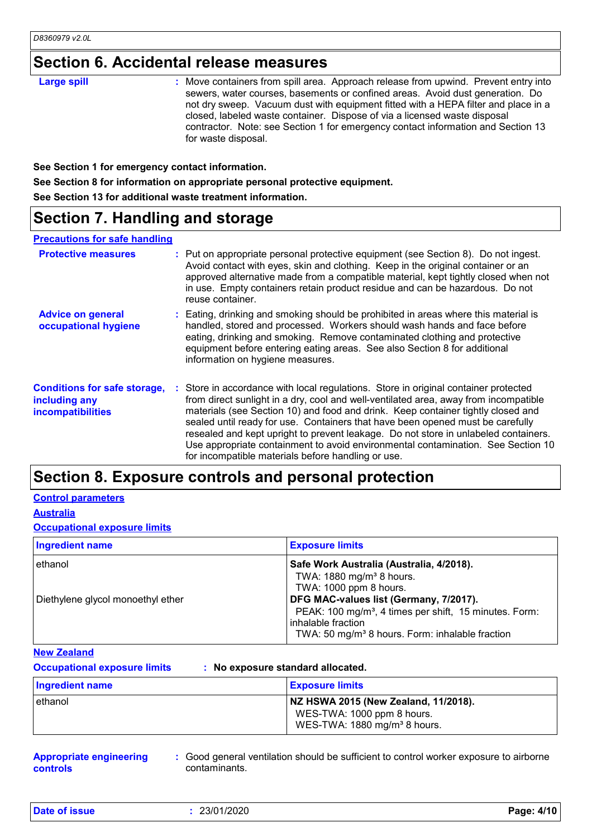### **Section 6. Accidental release measures**

| : Move containers from spill area. Approach release from upwind. Prevent entry into<br><b>Large spill</b><br>sewers, water courses, basements or confined areas. Avoid dust generation. Do<br>not dry sweep. Vacuum dust with equipment fitted with a HEPA filter and place in a<br>closed, labeled waste container. Dispose of via a licensed waste disposal<br>contractor. Note: see Section 1 for emergency contact information and Section 13<br>for waste disposal. |
|--------------------------------------------------------------------------------------------------------------------------------------------------------------------------------------------------------------------------------------------------------------------------------------------------------------------------------------------------------------------------------------------------------------------------------------------------------------------------|
|--------------------------------------------------------------------------------------------------------------------------------------------------------------------------------------------------------------------------------------------------------------------------------------------------------------------------------------------------------------------------------------------------------------------------------------------------------------------------|

**See Section 1 for emergency contact information.**

**See Section 8 for information on appropriate personal protective equipment.**

**See Section 13 for additional waste treatment information.**

### **Section 7. Handling and storage**

#### **Precautions for safe handling**

| <b>Protective measures</b>                                                       | : Put on appropriate personal protective equipment (see Section 8). Do not ingest.<br>Avoid contact with eyes, skin and clothing. Keep in the original container or an<br>approved alternative made from a compatible material, kept tightly closed when not<br>in use. Empty containers retain product residue and can be hazardous. Do not<br>reuse container.                                                                                                                                                                                                                   |
|----------------------------------------------------------------------------------|------------------------------------------------------------------------------------------------------------------------------------------------------------------------------------------------------------------------------------------------------------------------------------------------------------------------------------------------------------------------------------------------------------------------------------------------------------------------------------------------------------------------------------------------------------------------------------|
| <b>Advice on general</b><br>occupational hygiene                                 | : Eating, drinking and smoking should be prohibited in areas where this material is<br>handled, stored and processed. Workers should wash hands and face before<br>eating, drinking and smoking. Remove contaminated clothing and protective<br>equipment before entering eating areas. See also Section 8 for additional<br>information on hygiene measures.                                                                                                                                                                                                                      |
| <b>Conditions for safe storage,</b><br>including any<br><b>incompatibilities</b> | : Store in accordance with local regulations. Store in original container protected<br>from direct sunlight in a dry, cool and well-ventilated area, away from incompatible<br>materials (see Section 10) and food and drink. Keep container tightly closed and<br>sealed until ready for use. Containers that have been opened must be carefully<br>resealed and kept upright to prevent leakage. Do not store in unlabeled containers.<br>Use appropriate containment to avoid environmental contamination. See Section 10<br>for incompatible materials before handling or use. |

### **Section 8. Exposure controls and personal protection**

#### **Control parameters**

**Australia**

#### **Occupational exposure limits**

| <b>Ingredient name</b>                       | <b>Exposure limits</b>                                                                                                                                                                                                                                                                                          |
|----------------------------------------------|-----------------------------------------------------------------------------------------------------------------------------------------------------------------------------------------------------------------------------------------------------------------------------------------------------------------|
| ethanol<br>Diethylene glycol monoethyl ether | Safe Work Australia (Australia, 4/2018).<br>TWA: 1880 mg/m <sup>3</sup> 8 hours.<br>TWA: 1000 ppm 8 hours.<br>DFG MAC-values list (Germany, 7/2017).<br>PEAK: 100 mg/m <sup>3</sup> , 4 times per shift, 15 minutes. Form:<br>inhalable fraction<br>TWA: 50 mg/m <sup>3</sup> 8 hours. Form: inhalable fraction |

#### **New Zealand**

**Occupational exposure limits : No exposure standard allocated.**

| <b>Ingredient name</b> | <b>Exposure limits</b>                                                                                         |
|------------------------|----------------------------------------------------------------------------------------------------------------|
| ethanol                | NZ HSWA 2015 (New Zealand, 11/2018).<br>WES-TWA: 1000 ppm 8 hours.<br>WES-TWA: 1880 mg/m <sup>3</sup> 8 hours. |

**Appropriate engineering controls**

**:** Good general ventilation should be sufficient to control worker exposure to airborne contaminants.

**Date of issue :** 23/01/2020 **Page: 4/10**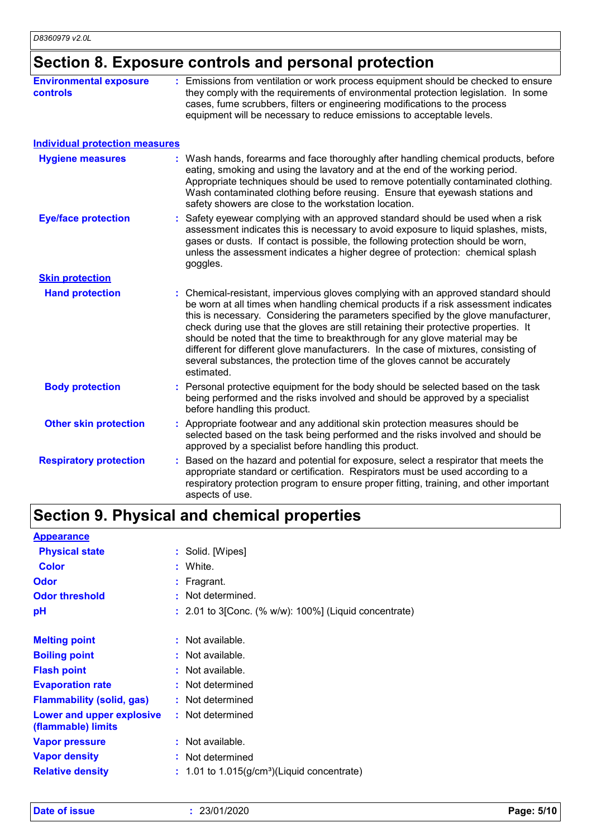### **Section 8. Exposure controls and personal protection**

| <b>Environmental exposure</b><br><b>controls</b> | : Emissions from ventilation or work process equipment should be checked to ensure<br>they comply with the requirements of environmental protection legislation. In some<br>cases, fume scrubbers, filters or engineering modifications to the process<br>equipment will be necessary to reduce emissions to acceptable levels.                                                                                                                                                                                                                                                                                           |
|--------------------------------------------------|---------------------------------------------------------------------------------------------------------------------------------------------------------------------------------------------------------------------------------------------------------------------------------------------------------------------------------------------------------------------------------------------------------------------------------------------------------------------------------------------------------------------------------------------------------------------------------------------------------------------------|
| <b>Individual protection measures</b>            |                                                                                                                                                                                                                                                                                                                                                                                                                                                                                                                                                                                                                           |
| <b>Hygiene measures</b>                          | : Wash hands, forearms and face thoroughly after handling chemical products, before<br>eating, smoking and using the lavatory and at the end of the working period.<br>Appropriate techniques should be used to remove potentially contaminated clothing.<br>Wash contaminated clothing before reusing. Ensure that eyewash stations and<br>safety showers are close to the workstation location.                                                                                                                                                                                                                         |
| <b>Eye/face protection</b>                       | Safety eyewear complying with an approved standard should be used when a risk<br>assessment indicates this is necessary to avoid exposure to liquid splashes, mists,<br>gases or dusts. If contact is possible, the following protection should be worn,<br>unless the assessment indicates a higher degree of protection: chemical splash<br>goggles.                                                                                                                                                                                                                                                                    |
| <b>Skin protection</b>                           |                                                                                                                                                                                                                                                                                                                                                                                                                                                                                                                                                                                                                           |
| <b>Hand protection</b>                           | : Chemical-resistant, impervious gloves complying with an approved standard should<br>be worn at all times when handling chemical products if a risk assessment indicates<br>this is necessary. Considering the parameters specified by the glove manufacturer,<br>check during use that the gloves are still retaining their protective properties. It<br>should be noted that the time to breakthrough for any glove material may be<br>different for different glove manufacturers. In the case of mixtures, consisting of<br>several substances, the protection time of the gloves cannot be accurately<br>estimated. |
| <b>Body protection</b>                           | : Personal protective equipment for the body should be selected based on the task<br>being performed and the risks involved and should be approved by a specialist<br>before handling this product.                                                                                                                                                                                                                                                                                                                                                                                                                       |
| <b>Other skin protection</b>                     | : Appropriate footwear and any additional skin protection measures should be<br>selected based on the task being performed and the risks involved and should be<br>approved by a specialist before handling this product.                                                                                                                                                                                                                                                                                                                                                                                                 |
| <b>Respiratory protection</b>                    | Based on the hazard and potential for exposure, select a respirator that meets the<br>appropriate standard or certification. Respirators must be used according to a<br>respiratory protection program to ensure proper fitting, training, and other important<br>aspects of use.                                                                                                                                                                                                                                                                                                                                         |

# **Section 9. Physical and chemical properties**

| <b>Appearance</b>                               |                                                           |
|-------------------------------------------------|-----------------------------------------------------------|
| <b>Physical state</b>                           | : Solid. [Wipes]                                          |
| Color                                           | : White.                                                  |
| <b>Odor</b>                                     | : Fragrant.                                               |
| <b>Odor threshold</b>                           | : Not determined.                                         |
| pH                                              | $: 2.01$ to 3 [Conc. (% w/w): 100%] (Liquid concentrate)  |
|                                                 |                                                           |
| <b>Melting point</b>                            | : Not available.                                          |
| <b>Boiling point</b>                            | : Not available.                                          |
| <b>Flash point</b>                              | : Not available.                                          |
| <b>Evaporation rate</b>                         | : Not determined                                          |
| <b>Flammability (solid, gas)</b>                | : Not determined                                          |
| Lower and upper explosive<br>(flammable) limits | : Not determined                                          |
| <b>Vapor pressure</b>                           | : Not available.                                          |
| <b>Vapor density</b>                            | : Not determined                                          |
| <b>Relative density</b>                         | $: 1.01$ to 1.015(g/cm <sup>3</sup> )(Liquid concentrate) |
|                                                 |                                                           |

**Date of issue :** 23/01/2020 **Page: 5/10**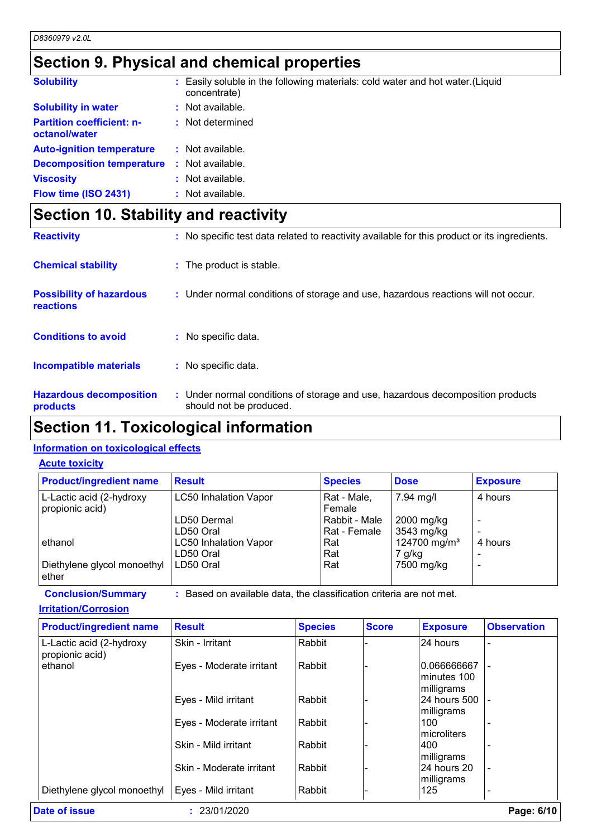### **Section 9. Physical and chemical properties**

| <b>Solubility</b>                                 | : Easily soluble in the following materials: cold water and hot water. (Liquid<br>concentrate) |
|---------------------------------------------------|------------------------------------------------------------------------------------------------|
| <b>Solubility in water</b>                        | $:$ Not available.                                                                             |
| <b>Partition coefficient: n-</b><br>octanol/water | : Not determined                                                                               |
| <b>Auto-ignition temperature</b>                  | : Not available.                                                                               |
| <b>Decomposition temperature :</b> Not available. |                                                                                                |
| <b>Viscosity</b>                                  | : Not available.                                                                               |
| Flow time (ISO 2431)                              | $:$ Not available.                                                                             |

## **Section 10. Stability and reactivity**

| <b>Reactivity</b>                            | : No specific test data related to reactivity available for this product or its ingredients.              |
|----------------------------------------------|-----------------------------------------------------------------------------------------------------------|
| <b>Chemical stability</b>                    | : The product is stable.                                                                                  |
| <b>Possibility of hazardous</b><br>reactions | : Under normal conditions of storage and use, hazardous reactions will not occur.                         |
| <b>Conditions to avoid</b>                   | : No specific data.                                                                                       |
| <b>Incompatible materials</b>                | : No specific data.                                                                                       |
| <b>Hazardous decomposition</b><br>products   | : Under normal conditions of storage and use, hazardous decomposition products<br>should not be produced. |

### **Section 11. Toxicological information**

### **Information on toxicological effects**

#### **Acute toxicity**

| <b>Product/ingredient name</b>              | <b>Result</b>                             | <b>Species</b>                | <b>Dose</b>                        | <b>Exposure</b> |
|---------------------------------------------|-------------------------------------------|-------------------------------|------------------------------------|-----------------|
| L-Lactic acid (2-hydroxy<br>propionic acid) | <b>LC50 Inhalation Vapor</b>              | Rat - Male,<br>Female         | 7.94 mg/l                          | 4 hours         |
|                                             | LD50 Dermal<br>LD50 Oral                  | Rabbit - Male<br>Rat - Female | 2000 mg/kg<br>3543 mg/kg           |                 |
| ethanol                                     | <b>LC50 Inhalation Vapor</b><br>LD50 Oral | Rat<br>Rat                    | 124700 mg/m <sup>3</sup><br>7 g/kg | 4 hours         |
| Diethylene glycol monoethyl<br>ether        | LD50 Oral                                 | Rat                           | 7500 mg/kg                         |                 |

**Conclusion/Summary :** Based on available data, the classification criteria are not met.

**Irritation/Corrosion**

|                          | <b>Species</b> | <b>Score</b> | <b>Exposure</b>             | <b>Observation</b>       |
|--------------------------|----------------|--------------|-----------------------------|--------------------------|
| Skin - Irritant          | Rabbit         |              | 24 hours                    |                          |
| Eyes - Moderate irritant | Rabbit         |              | 0.066666667<br>lminutes 100 |                          |
| Eyes - Mild irritant     | Rabbit         |              | 24 hours 500                |                          |
| Eyes - Moderate irritant | Rabbit         |              | 100<br>Imicroliters         |                          |
| Skin - Mild irritant     | Rabbit         |              | 1400<br>milligrams          |                          |
| Skin - Moderate irritant | Rabbit         |              | 24 hours 20<br>milligrams   |                          |
| Eyes - Mild irritant     | Rabbit         |              | 125                         |                          |
|                          |                |              |                             | milligrams<br>milligrams |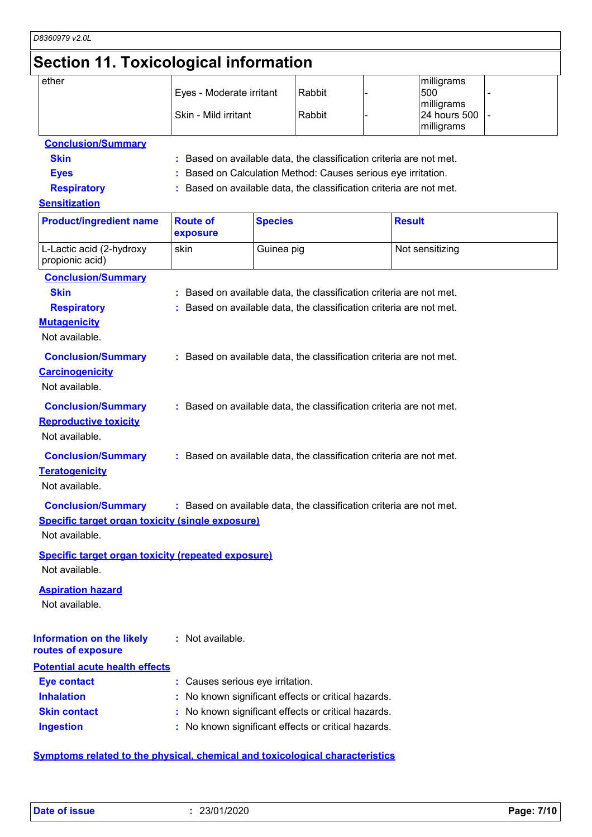### **Section 11. Toxicological information**

| ether                   | Eyes - Moderate irritant | Rabbit | milligrams<br>500<br>milligrams |  |
|-------------------------|--------------------------|--------|---------------------------------|--|
|                         | Skin - Mild irritant     | Rabbit | 24 hours 500 -<br>milligrams    |  |
| Canalusian IO consumers |                          |        |                                 |  |

### **Conclusion/Summary**

- **Skin Example 2018 :** Based on available data, the classification criteria are not met.
- **Eyes :** Based on Calculation Method: Causes serious eye irritation.
- **Respiratory :** Based on available data, the classification criteria are not met.

#### **Sensitization**

| <b>Product/ingredient name</b>                                                                          | <b>Route of</b><br>exposure    | <b>Species</b>                                                                                                                             | <b>Result</b>   |
|---------------------------------------------------------------------------------------------------------|--------------------------------|--------------------------------------------------------------------------------------------------------------------------------------------|-----------------|
| L-Lactic acid (2-hydroxy<br>propionic acid)                                                             | skin                           | Guinea pig                                                                                                                                 | Not sensitizing |
| <b>Conclusion/Summary</b><br><b>Skin</b><br><b>Respiratory</b><br><b>Mutagenicity</b><br>Not available. |                                | : Based on available data, the classification criteria are not met.<br>: Based on available data, the classification criteria are not met. |                 |
| <b>Conclusion/Summary</b><br><b>Carcinogenicity</b><br>Not available.                                   |                                | : Based on available data, the classification criteria are not met.                                                                        |                 |
| <b>Conclusion/Summary</b><br><b>Reproductive toxicity</b><br>Not available.                             |                                | : Based on available data, the classification criteria are not met.                                                                        |                 |
| <b>Conclusion/Summary</b><br><b>Teratogenicity</b><br>Not available.                                    |                                | : Based on available data, the classification criteria are not met.                                                                        |                 |
| <b>Conclusion/Summary</b><br><b>Specific target organ toxicity (single exposure)</b><br>Not available.  |                                | : Based on available data, the classification criteria are not met.                                                                        |                 |
| <b>Specific target organ toxicity (repeated exposure)</b><br>Not available.                             |                                |                                                                                                                                            |                 |
| <b>Aspiration hazard</b><br>Not available.                                                              |                                |                                                                                                                                            |                 |
| <b>Information on the likely</b><br>routes of exposure                                                  | : Not available.               |                                                                                                                                            |                 |
| <b>Potential acute health effects</b>                                                                   |                                |                                                                                                                                            |                 |
| <b>Eye contact</b>                                                                                      | Causes serious eye irritation. |                                                                                                                                            |                 |
| <b>Inhalation</b>                                                                                       |                                | No known significant effects or critical hazards.                                                                                          |                 |
| <b>Skin contact</b>                                                                                     |                                | No known significant effects or critical hazards.                                                                                          |                 |
| <b>Ingestion</b>                                                                                        |                                | No known significant effects or critical hazards.                                                                                          |                 |

### **Symptoms related to the physical, chemical and toxicological characteristics**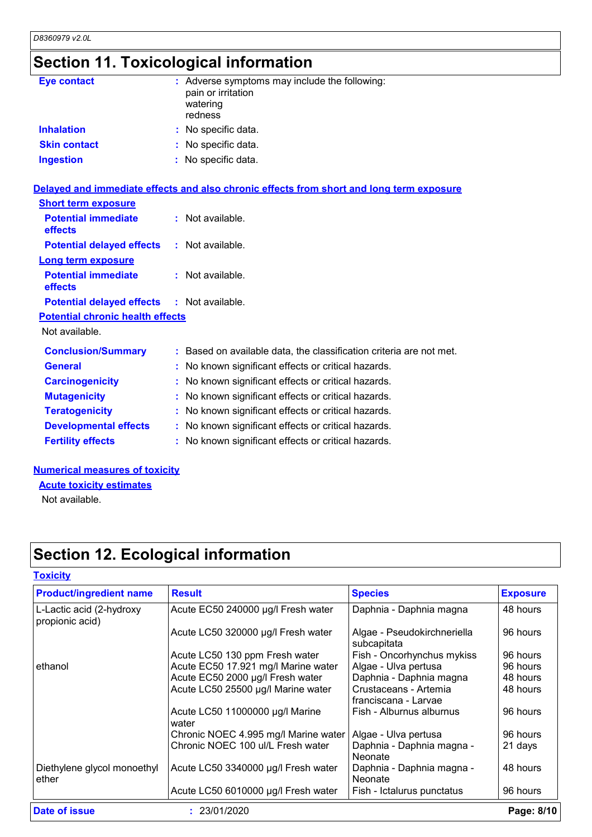# **Section 11. Toxicological information**

| <b>Eye contact</b>                      | : Adverse symptoms may include the following:<br>pain or irritation<br>watering<br>redness |
|-----------------------------------------|--------------------------------------------------------------------------------------------|
| <b>Inhalation</b>                       | : No specific data.                                                                        |
| <b>Skin contact</b>                     | : No specific data.                                                                        |
| <b>Ingestion</b>                        | : No specific data.                                                                        |
|                                         | Delayed and immediate effects and also chronic effects from short and long term exposure   |
| <b>Short term exposure</b>              |                                                                                            |
| <b>Potential immediate</b><br>effects   | : Not available.                                                                           |
| <b>Potential delayed effects</b>        | : Not available.                                                                           |
| <b>Long term exposure</b>               |                                                                                            |
| <b>Potential immediate</b><br>effects   | : Not available.                                                                           |
| <b>Potential delayed effects</b>        | : Not available.                                                                           |
| <b>Potential chronic health effects</b> |                                                                                            |
| Not available.                          |                                                                                            |
| <b>Conclusion/Summary</b>               | : Based on available data, the classification criteria are not met.                        |
| <b>General</b>                          | : No known significant effects or critical hazards.                                        |
| <b>Carcinogenicity</b>                  | : No known significant effects or critical hazards.                                        |
| <b>Mutagenicity</b>                     | : No known significant effects or critical hazards.                                        |
| <b>Teratogenicity</b>                   | : No known significant effects or critical hazards.                                        |
| <b>Developmental effects</b>            | : No known significant effects or critical hazards.                                        |
| <b>Fertility effects</b>                | : No known significant effects or critical hazards.                                        |

#### **Numerical measures of toxicity**

**Acute toxicity estimates**

Not available.

# **Section 12. Ecological information**

### **Toxicity**

| <b>Product/ingredient name</b>              | <b>Result</b>                            | <b>Species</b>                                | <b>Exposure</b> |
|---------------------------------------------|------------------------------------------|-----------------------------------------------|-----------------|
| L-Lactic acid (2-hydroxy<br>propionic acid) | Acute EC50 240000 µg/l Fresh water       | Daphnia - Daphnia magna                       | 48 hours        |
|                                             | Acute LC50 320000 µg/l Fresh water       | Algae - Pseudokirchneriella<br>subcapitata    | 96 hours        |
|                                             | Acute LC50 130 ppm Fresh water           | Fish - Oncorhynchus mykiss                    | 96 hours        |
| ethanol                                     | Acute EC50 17.921 mg/l Marine water      | Algae - Ulva pertusa                          | 96 hours        |
|                                             | Acute EC50 2000 µg/l Fresh water         | Daphnia - Daphnia magna                       | 48 hours        |
|                                             | Acute LC50 25500 µg/l Marine water       | Crustaceans - Artemia<br>franciscana - Larvae | 48 hours        |
|                                             | Acute LC50 11000000 µg/l Marine<br>water | Fish - Alburnus alburnus                      | 96 hours        |
|                                             | Chronic NOEC 4.995 mg/l Marine water     | Algae - Ulva pertusa                          | 96 hours        |
|                                             | Chronic NOEC 100 ul/L Fresh water        | Daphnia - Daphnia magna -<br>Neonate          | 21 days         |
| Diethylene glycol monoethyl<br>ether        | Acute LC50 3340000 µg/l Fresh water      | Daphnia - Daphnia magna -<br>Neonate          | 48 hours        |
|                                             | Acute LC50 6010000 µg/l Fresh water      | Fish - Ictalurus punctatus                    | 96 hours        |
| Date of issue                               | : 23/01/2020                             |                                               | Page: 8/10      |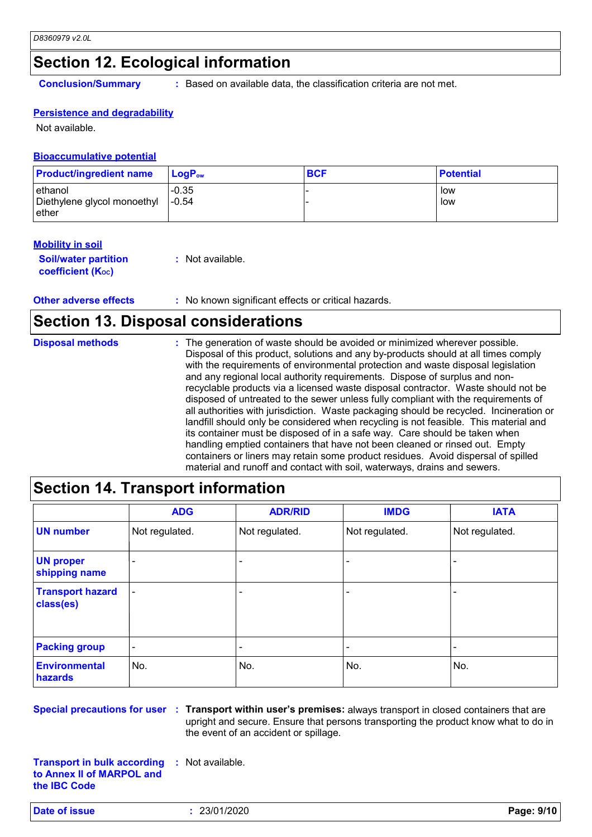### **Section 12. Ecological information**

**Conclusion/Summary :** Based on available data, the classification criteria are not met.

#### **Persistence and degradability**

Not available.

#### **Bioaccumulative potential**

| <b>Product/ingredient name</b>                   | <b>LogP</b> <sub>ow</sub> | <b>BCF</b> | <b>Potential</b> |
|--------------------------------------------------|---------------------------|------------|------------------|
| ethanol<br>Diethylene glycol monoethyl<br>⊪ether | $-0.35$<br>$-0.54$        |            | low<br>low       |

#### **Mobility in soil**

**Soil/water partition coefficient (KOC)**

**:** Not available.

**Other adverse effects** : No known significant effects or critical hazards.

### **Section 13. Disposal considerations**

| <b>Disposal methods</b> | : The generation of waste should be avoided or minimized wherever possible.<br>Disposal of this product, solutions and any by-products should at all times comply<br>with the requirements of environmental protection and waste disposal legislation<br>and any regional local authority requirements. Dispose of surplus and non-<br>recyclable products via a licensed waste disposal contractor. Waste should not be<br>disposed of untreated to the sewer unless fully compliant with the requirements of<br>all authorities with jurisdiction. Waste packaging should be recycled. Incineration or<br>landfill should only be considered when recycling is not feasible. This material and<br>its container must be disposed of in a safe way. Care should be taken when<br>handling emptied containers that have not been cleaned or rinsed out. Empty<br>containers or liners may retain some product residues. Avoid dispersal of spilled |
|-------------------------|----------------------------------------------------------------------------------------------------------------------------------------------------------------------------------------------------------------------------------------------------------------------------------------------------------------------------------------------------------------------------------------------------------------------------------------------------------------------------------------------------------------------------------------------------------------------------------------------------------------------------------------------------------------------------------------------------------------------------------------------------------------------------------------------------------------------------------------------------------------------------------------------------------------------------------------------------|
|                         | material and runoff and contact with soil, waterways, drains and sewers.                                                                                                                                                                                                                                                                                                                                                                                                                                                                                                                                                                                                                                                                                                                                                                                                                                                                           |

### **Section 14. Transport information**

|                                      | <b>ADG</b>               | <b>ADR/RID</b>           | <b>IMDG</b>    | <b>IATA</b>    |
|--------------------------------------|--------------------------|--------------------------|----------------|----------------|
| <b>UN number</b>                     | Not regulated.           | Not regulated.           | Not regulated. | Not regulated. |
| <b>UN proper</b><br>shipping name    |                          |                          |                |                |
| <b>Transport hazard</b><br>class(es) | ٠                        | $\overline{\phantom{0}}$ |                |                |
| <b>Packing group</b>                 | $\overline{\phantom{a}}$ | $\qquad \qquad$          |                |                |
| <b>Environmental</b><br>hazards      | No.                      | No.                      | No.            | No.            |

**Special precautions for user Transport within user's premises:** always transport in closed containers that are **:** upright and secure. Ensure that persons transporting the product know what to do in the event of an accident or spillage.

**Transport in bulk according to Annex II of MARPOL and the IBC Code :** Not available.

**Date of issue :** 23/01/2020 **Page: 9/10**